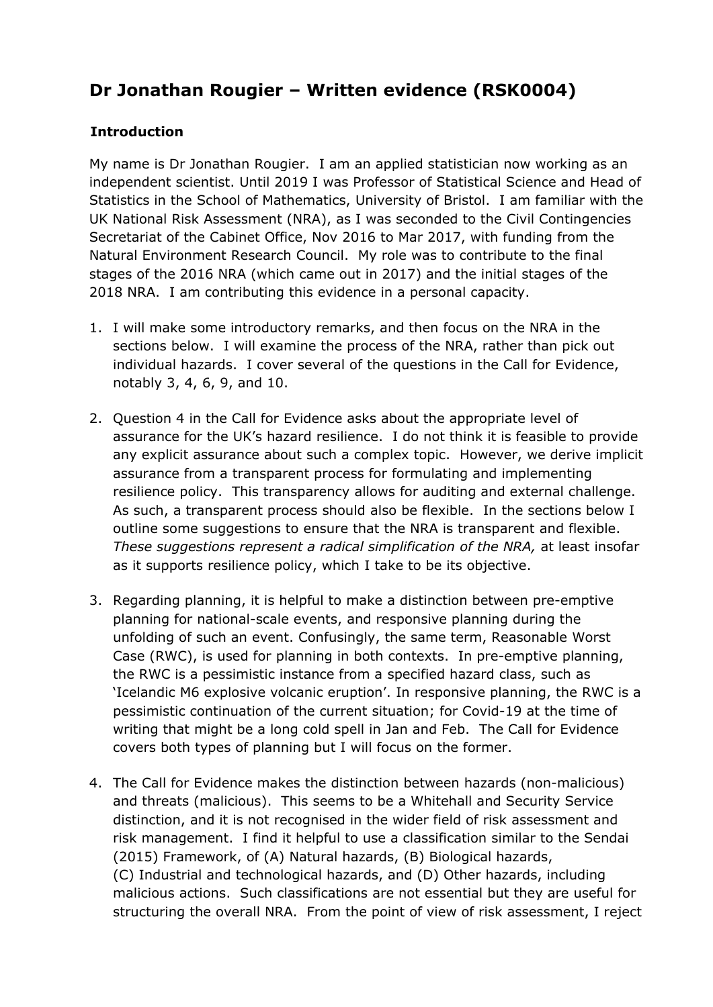# **Dr Jonathan Rougier – Written evidence (RSK0004)**

## **Introduction**

My name is Dr Jonathan Rougier. I am an applied statistician now working as an independent scientist. Until 2019 I was Professor of Statistical Science and Head of Statistics in the School of Mathematics, University of Bristol. I am familiar with the UK National Risk Assessment (NRA), as I was seconded to the Civil Contingencies Secretariat of the Cabinet Office, Nov 2016 to Mar 2017, with funding from the Natural Environment Research Council. My role was to contribute to the final stages of the 2016 NRA (which came out in 2017) and the initial stages of the 2018 NRA. I am contributing this evidence in a personal capacity.

- 1. I will make some introductory remarks, and then focus on the NRA in the sections below. I will examine the process of the NRA, rather than pick out individual hazards. I cover several of the questions in the Call for Evidence, notably 3, 4, 6, 9, and 10.
- 2. Question 4 in the Call for Evidence asks about the appropriate level of assurance for the UK's hazard resilience. I do not think it is feasible to provide any explicit assurance about such a complex topic. However, we derive implicit assurance from a transparent process for formulating and implementing resilience policy. This transparency allows for auditing and external challenge. As such, a transparent process should also be flexible. In the sections below I outline some suggestions to ensure that the NRA is transparent and flexible. *These suggestions represent a radical simplification of the NRA,* at least insofar as it supports resilience policy, which I take to be its objective.
- 3. Regarding planning, it is helpful to make a distinction between pre-emptive planning for national-scale events, and responsive planning during the unfolding of such an event. Confusingly, the same term, Reasonable Worst Case (RWC), is used for planning in both contexts. In pre-emptive planning, the RWC is a pessimistic instance from a specified hazard class, such as 'Icelandic M6 explosive volcanic eruption'. In responsive planning, the RWC is a pessimistic continuation of the current situation; for Covid-19 at the time of writing that might be a long cold spell in Jan and Feb. The Call for Evidence covers both types of planning but I will focus on the former.
- 4. The Call for Evidence makes the distinction between hazards (non-malicious) and threats (malicious). This seems to be a Whitehall and Security Service distinction, and it is not recognised in the wider field of risk assessment and risk management. I find it helpful to use a classification similar to the Sendai (2015) Framework, of (A) Natural hazards, (B) Biological hazards, (C) Industrial and technological hazards, and (D) Other hazards, including malicious actions. Such classifications are not essential but they are useful for structuring the overall NRA. From the point of view of risk assessment, I reject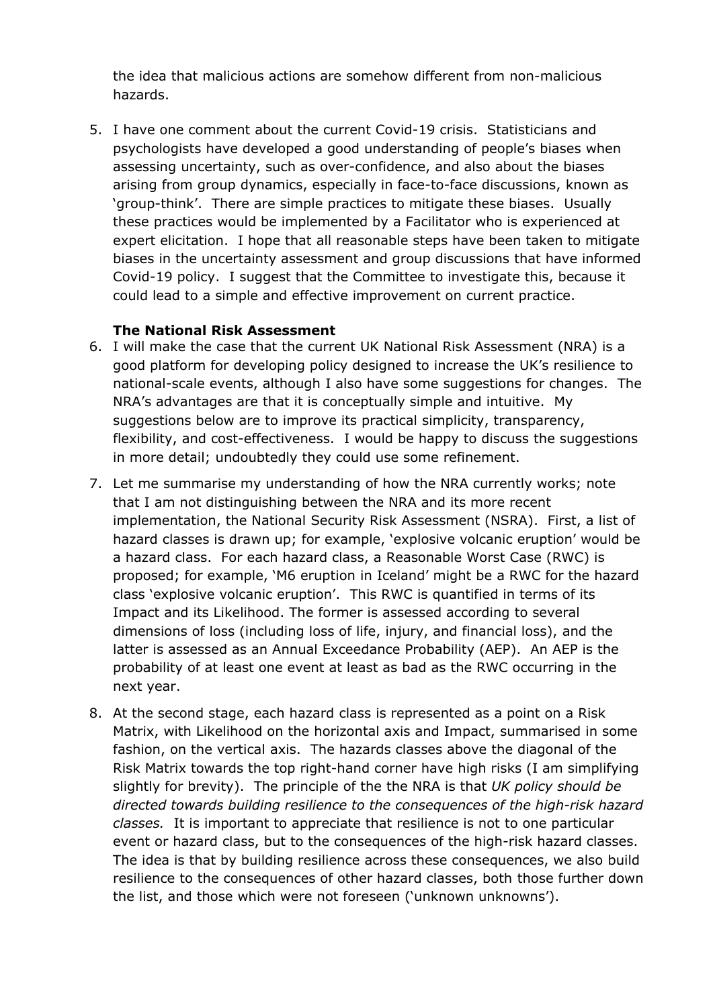the idea that malicious actions are somehow different from non-malicious hazards.

5. I have one comment about the current Covid-19 crisis. Statisticians and psychologists have developed a good understanding of people's biases when assessing uncertainty, such as over-confidence, and also about the biases arising from group dynamics, especially in face-to-face discussions, known as 'group-think'. There are simple practices to mitigate these biases. Usually these practices would be implemented by a Facilitator who is experienced at expert elicitation. I hope that all reasonable steps have been taken to mitigate biases in the uncertainty assessment and group discussions that have informed Covid-19 policy. I suggest that the Committee to investigate this, because it could lead to a simple and effective improvement on current practice.

## **The National Risk Assessment**

- 6. I will make the case that the current UK National Risk Assessment (NRA) is a good platform for developing policy designed to increase the UK's resilience to national-scale events, although I also have some suggestions for changes. The NRA's advantages are that it is conceptually simple and intuitive. My suggestions below are to improve its practical simplicity, transparency, flexibility, and cost-effectiveness. I would be happy to discuss the suggestions in more detail; undoubtedly they could use some refinement.
- 7. Let me summarise my understanding of how the NRA currently works; note that I am not distinguishing between the NRA and its more recent implementation, the National Security Risk Assessment (NSRA). First, a list of hazard classes is drawn up; for example, 'explosive volcanic eruption' would be a hazard class. For each hazard class, a Reasonable Worst Case (RWC) is proposed; for example, 'M6 eruption in Iceland' might be a RWC for the hazard class 'explosive volcanic eruption'. This RWC is quantified in terms of its Impact and its Likelihood. The former is assessed according to several dimensions of loss (including loss of life, injury, and financial loss), and the latter is assessed as an Annual Exceedance Probability (AEP). An AEP is the probability of at least one event at least as bad as the RWC occurring in the next year.
- 8. At the second stage, each hazard class is represented as a point on a Risk Matrix, with Likelihood on the horizontal axis and Impact, summarised in some fashion, on the vertical axis. The hazards classes above the diagonal of the Risk Matrix towards the top right-hand corner have high risks (I am simplifying slightly for brevity). The principle of the the NRA is that *UK policy should be directed towards building resilience to the consequences of the high-risk hazard classes.* It is important to appreciate that resilience is not to one particular event or hazard class, but to the consequences of the high-risk hazard classes. The idea is that by building resilience across these consequences, we also build resilience to the consequences of other hazard classes, both those further down the list, and those which were not foreseen ('unknown unknowns').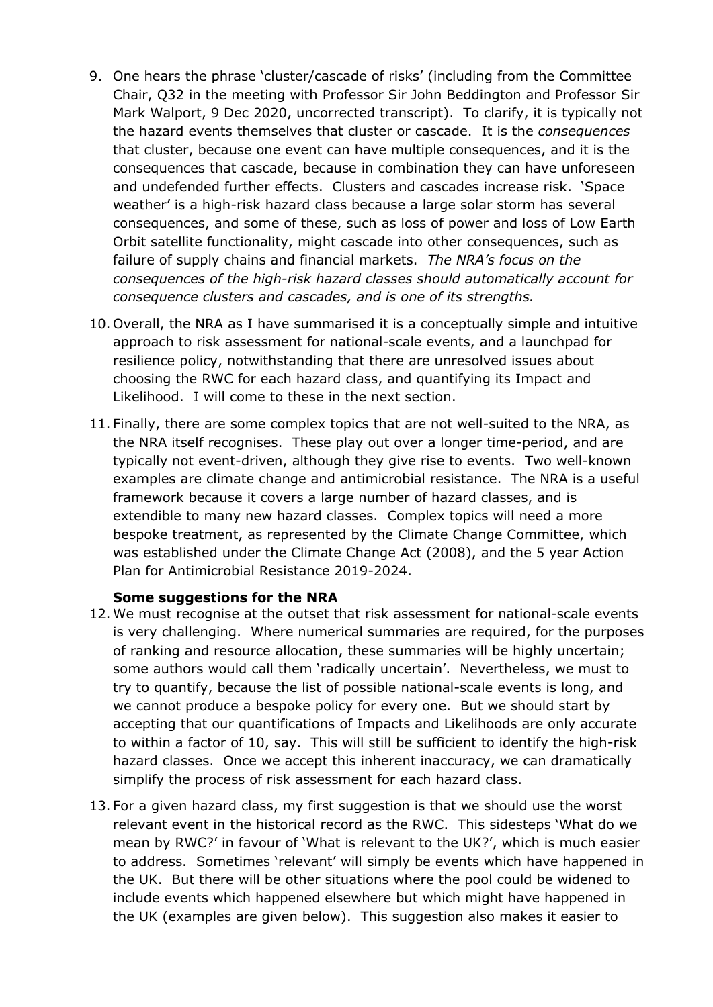- 9. One hears the phrase 'cluster/cascade of risks' (including from the Committee Chair, Q32 in the meeting with Professor Sir John Beddington and Professor Sir Mark Walport, 9 Dec 2020, uncorrected transcript). To clarify, it is typically not the hazard events themselves that cluster or cascade. It is the *consequences* that cluster, because one event can have multiple consequences, and it is the consequences that cascade, because in combination they can have unforeseen and undefended further effects. Clusters and cascades increase risk. 'Space weather' is a high-risk hazard class because a large solar storm has several consequences, and some of these, such as loss of power and loss of Low Earth Orbit satellite functionality, might cascade into other consequences, such as failure of supply chains and financial markets. *The NRA's focus on the consequences of the high-risk hazard classes should automatically account for consequence clusters and cascades, and is one of its strengths.*
- 10. Overall, the NRA as I have summarised it is a conceptually simple and intuitive approach to risk assessment for national-scale events, and a launchpad for resilience policy, notwithstanding that there are unresolved issues about choosing the RWC for each hazard class, and quantifying its Impact and Likelihood. I will come to these in the next section.
- 11. Finally, there are some complex topics that are not well-suited to the NRA, as the NRA itself recognises. These play out over a longer time-period, and are typically not event-driven, although they give rise to events. Two well-known examples are climate change and antimicrobial resistance. The NRA is a useful framework because it covers a large number of hazard classes, and is extendible to many new hazard classes. Complex topics will need a more bespoke treatment, as represented by the Climate Change Committee, which was established under the Climate Change Act (2008), and the 5 year Action Plan for Antimicrobial Resistance 2019-2024.

#### **Some suggestions for the NRA**

- 12. We must recognise at the outset that risk assessment for national-scale events is very challenging. Where numerical summaries are required, for the purposes of ranking and resource allocation, these summaries will be highly uncertain; some authors would call them 'radically uncertain'. Nevertheless, we must to try to quantify, because the list of possible national-scale events is long, and we cannot produce a bespoke policy for every one. But we should start by accepting that our quantifications of Impacts and Likelihoods are only accurate to within a factor of 10, say. This will still be sufficient to identify the high-risk hazard classes. Once we accept this inherent inaccuracy, we can dramatically simplify the process of risk assessment for each hazard class.
- 13. For a given hazard class, my first suggestion is that we should use the worst relevant event in the historical record as the RWC. This sidesteps 'What do we mean by RWC?' in favour of 'What is relevant to the UK?', which is much easier to address. Sometimes 'relevant' will simply be events which have happened in the UK. But there will be other situations where the pool could be widened to include events which happened elsewhere but which might have happened in the UK (examples are given below). This suggestion also makes it easier to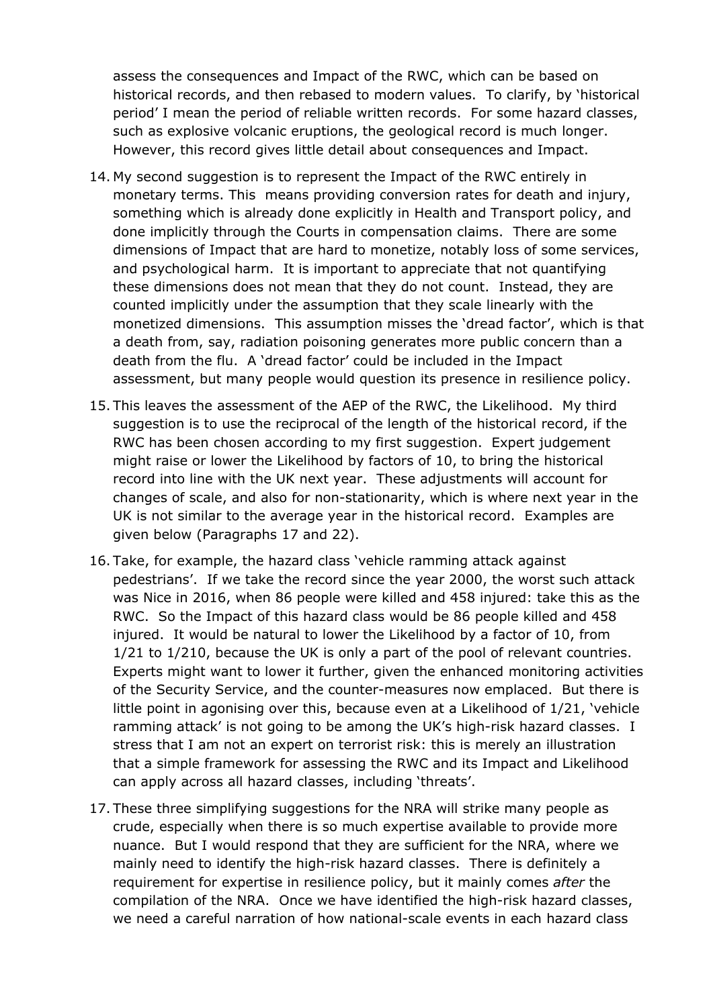assess the consequences and Impact of the RWC, which can be based on historical records, and then rebased to modern values. To clarify, by 'historical period' I mean the period of reliable written records. For some hazard classes, such as explosive volcanic eruptions, the geological record is much longer. However, this record gives little detail about consequences and Impact.

- 14. My second suggestion is to represent the Impact of the RWC entirely in monetary terms. This means providing conversion rates for death and injury, something which is already done explicitly in Health and Transport policy, and done implicitly through the Courts in compensation claims. There are some dimensions of Impact that are hard to monetize, notably loss of some services, and psychological harm. It is important to appreciate that not quantifying these dimensions does not mean that they do not count. Instead, they are counted implicitly under the assumption that they scale linearly with the monetized dimensions. This assumption misses the 'dread factor', which is that a death from, say, radiation poisoning generates more public concern than a death from the flu. A 'dread factor' could be included in the Impact assessment, but many people would question its presence in resilience policy.
- 15. This leaves the assessment of the AEP of the RWC, the Likelihood. My third suggestion is to use the reciprocal of the length of the historical record, if the RWC has been chosen according to my first suggestion. Expert judgement might raise or lower the Likelihood by factors of 10, to bring the historical record into line with the UK next year. These adjustments will account for changes of scale, and also for non-stationarity, which is where next year in the UK is not similar to the average year in the historical record. Examples are given below (Paragraphs 17 and 22).
- 16. Take, for example, the hazard class 'vehicle ramming attack against pedestrians'. If we take the record since the year 2000, the worst such attack was Nice in 2016, when 86 people were killed and 458 injured: take this as the RWC. So the Impact of this hazard class would be 86 people killed and 458 injured. It would be natural to lower the Likelihood by a factor of 10, from 1/21 to 1/210, because the UK is only a part of the pool of relevant countries. Experts might want to lower it further, given the enhanced monitoring activities of the Security Service, and the counter-measures now emplaced. But there is little point in agonising over this, because even at a Likelihood of 1/21, 'vehicle ramming attack' is not going to be among the UK's high-risk hazard classes. I stress that I am not an expert on terrorist risk: this is merely an illustration that a simple framework for assessing the RWC and its Impact and Likelihood can apply across all hazard classes, including 'threats'.
- 17. These three simplifying suggestions for the NRA will strike many people as crude, especially when there is so much expertise available to provide more nuance. But I would respond that they are sufficient for the NRA, where we mainly need to identify the high-risk hazard classes. There is definitely a requirement for expertise in resilience policy, but it mainly comes *after* the compilation of the NRA. Once we have identified the high-risk hazard classes, we need a careful narration of how national-scale events in each hazard class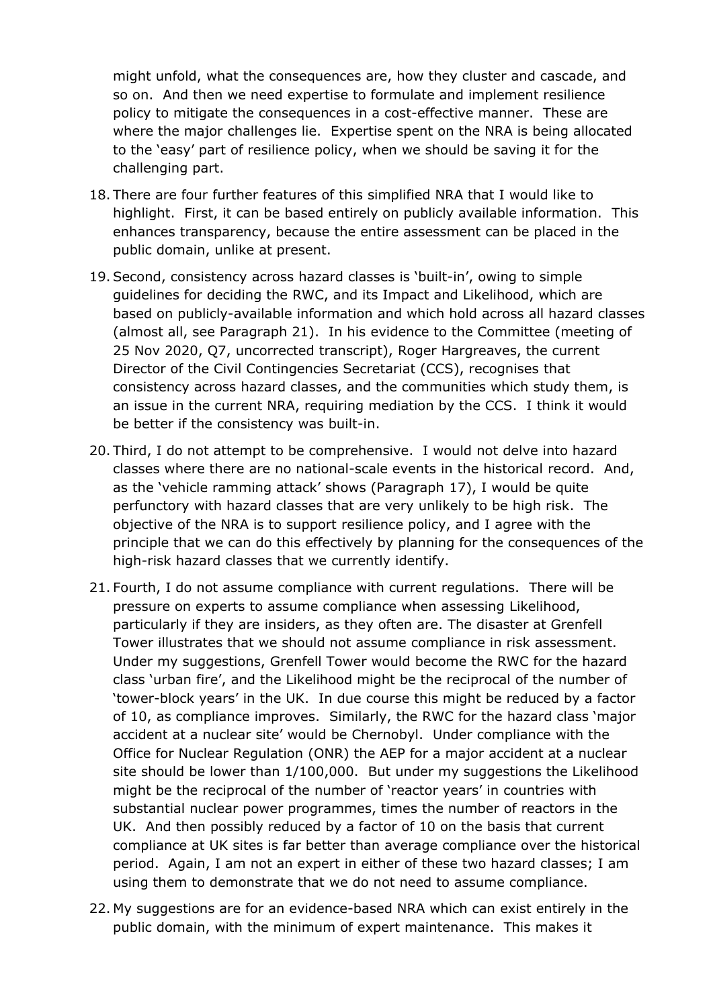might unfold, what the consequences are, how they cluster and cascade, and so on. And then we need expertise to formulate and implement resilience policy to mitigate the consequences in a cost-effective manner. These are where the major challenges lie. Expertise spent on the NRA is being allocated to the 'easy' part of resilience policy, when we should be saving it for the challenging part.

- 18. There are four further features of this simplified NRA that I would like to highlight. First, it can be based entirely on publicly available information. This enhances transparency, because the entire assessment can be placed in the public domain, unlike at present.
- 19. Second, consistency across hazard classes is 'built-in', owing to simple guidelines for deciding the RWC, and its Impact and Likelihood, which are based on publicly-available information and which hold across all hazard classes (almost all, see Paragraph 21). In his evidence to the Committee (meeting of 25 Nov 2020, Q7, uncorrected transcript), Roger Hargreaves, the current Director of the Civil Contingencies Secretariat (CCS), recognises that consistency across hazard classes, and the communities which study them, is an issue in the current NRA, requiring mediation by the CCS. I think it would be better if the consistency was built-in.
- 20. Third, I do not attempt to be comprehensive. I would not delve into hazard classes where there are no national-scale events in the historical record. And, as the 'vehicle ramming attack' shows (Paragraph 17), I would be quite perfunctory with hazard classes that are very unlikely to be high risk. The objective of the NRA is to support resilience policy, and I agree with the principle that we can do this effectively by planning for the consequences of the high-risk hazard classes that we currently identify.
- 21. Fourth, I do not assume compliance with current regulations. There will be pressure on experts to assume compliance when assessing Likelihood, particularly if they are insiders, as they often are. The disaster at Grenfell Tower illustrates that we should not assume compliance in risk assessment. Under my suggestions, Grenfell Tower would become the RWC for the hazard class 'urban fire', and the Likelihood might be the reciprocal of the number of 'tower-block years' in the UK. In due course this might be reduced by a factor of 10, as compliance improves. Similarly, the RWC for the hazard class 'major accident at a nuclear site' would be Chernobyl. Under compliance with the Office for Nuclear Regulation (ONR) the AEP for a major accident at a nuclear site should be lower than 1/100,000. But under my suggestions the Likelihood might be the reciprocal of the number of 'reactor years' in countries with substantial nuclear power programmes, times the number of reactors in the UK. And then possibly reduced by a factor of 10 on the basis that current compliance at UK sites is far better than average compliance over the historical period. Again, I am not an expert in either of these two hazard classes; I am using them to demonstrate that we do not need to assume compliance.
- 22. My suggestions are for an evidence-based NRA which can exist entirely in the public domain, with the minimum of expert maintenance. This makes it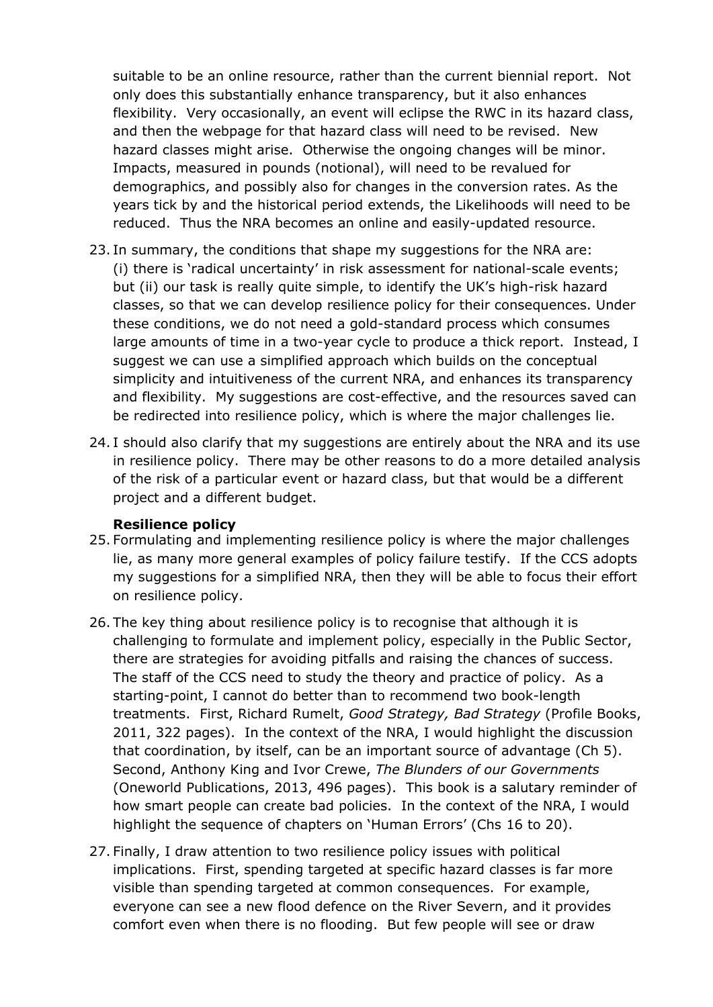suitable to be an online resource, rather than the current biennial report. Not only does this substantially enhance transparency, but it also enhances flexibility. Very occasionally, an event will eclipse the RWC in its hazard class, and then the webpage for that hazard class will need to be revised. New hazard classes might arise. Otherwise the ongoing changes will be minor. Impacts, measured in pounds (notional), will need to be revalued for demographics, and possibly also for changes in the conversion rates. As the years tick by and the historical period extends, the Likelihoods will need to be reduced. Thus the NRA becomes an online and easily-updated resource.

- 23. In summary, the conditions that shape my suggestions for the NRA are: (i) there is 'radical uncertainty' in risk assessment for national-scale events; but (ii) our task is really quite simple, to identify the UK's high-risk hazard classes, so that we can develop resilience policy for their consequences. Under these conditions, we do not need a gold-standard process which consumes large amounts of time in a two-year cycle to produce a thick report. Instead, I suggest we can use a simplified approach which builds on the conceptual simplicity and intuitiveness of the current NRA, and enhances its transparency and flexibility. My suggestions are cost-effective, and the resources saved can be redirected into resilience policy, which is where the major challenges lie.
- 24. I should also clarify that my suggestions are entirely about the NRA and its use in resilience policy. There may be other reasons to do a more detailed analysis of the risk of a particular event or hazard class, but that would be a different project and a different budget.

#### **Resilience policy**

- 25. Formulating and implementing resilience policy is where the major challenges lie, as many more general examples of policy failure testify. If the CCS adopts my suggestions for a simplified NRA, then they will be able to focus their effort on resilience policy.
- 26. The key thing about resilience policy is to recognise that although it is challenging to formulate and implement policy, especially in the Public Sector, there are strategies for avoiding pitfalls and raising the chances of success. The staff of the CCS need to study the theory and practice of policy. As a starting-point, I cannot do better than to recommend two book-length treatments. First, Richard Rumelt, *Good Strategy, Bad Strategy* (Profile Books, 2011, 322 pages). In the context of the NRA, I would highlight the discussion that coordination, by itself, can be an important source of advantage (Ch 5). Second, Anthony King and Ivor Crewe, *The Blunders of our Governments* (Oneworld Publications, 2013, 496 pages). This book is a salutary reminder of how smart people can create bad policies. In the context of the NRA, I would highlight the sequence of chapters on 'Human Errors' (Chs 16 to 20).
- 27. Finally, I draw attention to two resilience policy issues with political implications. First, spending targeted at specific hazard classes is far more visible than spending targeted at common consequences. For example, everyone can see a new flood defence on the River Severn, and it provides comfort even when there is no flooding. But few people will see or draw